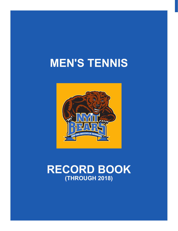# **MEN'S TENNIS**



## **RECORD BOOK (THROUGH 2018)**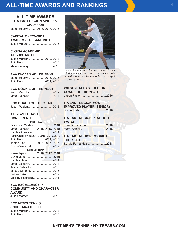## **ALL-TIME AWARDS AND RANKINGS**

#### **ALL-TIME AWARDS ITA EAST REGION SINGLES CHAMPION**

Matej Selecky .........2016, 2017, 2018

#### **CAPITAL ONE/CoSIDA ACADEMIC ALL-AMERICA**

| Julian Marcon  2013 |  |
|---------------------|--|
|                     |  |

#### **CoSIDA ACADEMIC ALL-DISTRICT I**

| Julian Marcon  2012, 2013 |  |
|---------------------------|--|
|                           |  |
| Matej Selecky  2015       |  |

#### **ECC PLAYER OF THE YEAR**

Matej Selecky ...................2016, 2018 Julio Pulido .......................2014, 2015

#### **ECC ROOKIE OF THE YEAR**

#### **ECC COACH OF THE YEAR**

#### **ALL-EAST COAST CONFERENCE**

#### **First Team**

| Francisco Caldas2018<br>Matej Selecky 2015, 2016, 2018<br>Rafal Charkiewicz 2014, 2015, 2016, 2017<br>Julio Pulido  2014, 2015 |  |
|--------------------------------------------------------------------------------------------------------------------------------|--|
| Tomas Lieb.  2013, 2015, 2016                                                                                                  |  |
|                                                                                                                                |  |
| <b>SECOND TEAM</b>                                                                                                             |  |
| Rares Ispas 2016, 2017, 2018                                                                                                   |  |
|                                                                                                                                |  |
|                                                                                                                                |  |
|                                                                                                                                |  |
| Matej Selecky  2014                                                                                                            |  |
| Jaime Salvador 2013                                                                                                            |  |
| Mircea Dimofte.  2013                                                                                                          |  |
| Peidro Peixoto  2012<br>Vojislav Pecikoza 2011                                                                                 |  |

#### **ECC EXCELLENCE IN COMMUNITY AND CHARACTER AWARD**

| Julian Marcon  2013 |  |
|---------------------|--|
|---------------------|--|

#### **ECC MEN'S TENNIS SCHOLAR-ATHLETE**

| Julian Marcon  2013 |  |
|---------------------|--|
|                     |  |



*Julian Marcon was the first men's tennis student-athlete to receive Academic All-America honors after producing six straight 4.0 semesters.*

#### **WILSON/ITA EAST REGION COACH OF THE YEAR**

Jason Pasion..............................2016

**ITA EAST REGION MOST IMPROVED PLAYER (SENIOR)** Tomas Lieb .................................2016

#### **ITA EAST REGION PLAYER TO**  WATCH **In the United States**

#### **ITA EAST REGION ROOKIE OF THE YEAR**

Sergio Fernandez.......................2018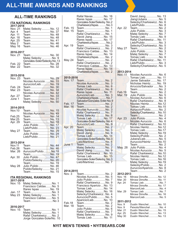## **ALL-TIME AWARDS AND RANKINGS**

#### **ALL-TIME RANKINGS**

| <b>ITA NATIONAL RANKINGS</b><br>2017-2018                                    |                                                                                                               |  |                      |  |
|------------------------------------------------------------------------------|---------------------------------------------------------------------------------------------------------------|--|----------------------|--|
| <b>Nov. 21</b><br>Apr. 4<br>Apr. 11<br>Apr. 18<br>Apr. 25<br>May 2<br>May 16 | Matej Selecky  No. 12<br>TeamNo.<br>TeamNo. 48<br>TeamNo. 48<br>TeamNo.<br>TeamNo. 46<br>TeamNo. 46           |  | 37<br>41             |  |
| 2016-2017<br>Nov. 21                                                         | TeamNo. 30                                                                                                    |  |                      |  |
| Feb. 22<br>Mar. 22                                                           | Matej Selecky  No. 9<br>Gonzales-Soler/Selecky.No.13<br>Теаm  Ño. 28<br>TeamNo. 32                            |  |                      |  |
| 2015-2016                                                                    |                                                                                                               |  |                      |  |
| Nov. 23<br>Feb. 24                                                           | TeamNo. 29<br>Nicolas Auruccio  No.<br>Auruccio/LiebNo.<br>TeamNo.                                            |  | 33<br>19<br>30       |  |
| Mar. 23                                                                      | TeamNo.<br>Nicolas Auruccio  No.                                                                              |  | 34<br>42             |  |
| Apr. 27<br>June 1                                                            | TeamNo.<br>TeamNo.<br>Matej Selecky No.                                                                       |  | 33<br>31<br>50       |  |
| 2014-2015<br><b>Nov.10</b>                                                   | TeamNo.                                                                                                       |  | 15                   |  |
| Feb.25<br>Mar.25<br>Apr. 29                                                  | Nicolas Auruccio  No.<br>TeamNo.<br>TeamNo.                                                                   |  | 49<br>14<br>13<br>18 |  |
| May 27                                                                       | Julio Pulido  No.<br>Lieb/Pulido No. 23<br>Julio Pulido <mark></mark> No.<br>Lieb/Pulido  No. 21              |  | 17<br>29<br>24       |  |
| 2013-2014                                                                    |                                                                                                               |  |                      |  |
| <b>Nov.11</b><br>Feb.26                                                      | TeamNo. 44<br>Теат <mark></mark> No. 46                                                                       |  |                      |  |
| Mar. 26                                                                      | Auruccio/PulidoNo.18<br>TeamNo. 19                                                                            |  |                      |  |
| Apr. 30                                                                      | Julio Pulido  No. 47<br>Pulido/Selecky  No. 20                                                                |  |                      |  |
| <b>May 28</b>                                                                | TeamNo. 19<br>Julio Pulido  No. 46<br>Pulido/Selecky  No. 21<br>Team No. 15                                   |  |                      |  |
|                                                                              | <b>ITA REGIONAL RANKINGS</b>                                                                                  |  |                      |  |
| 2017-2018<br>Nov. 15                                                         | Matej Selecky  No. 1                                                                                          |  |                      |  |
| Jan. 17<br>May 23                                                            | Francisco CaldasNo.<br>Rares Ispas  No. 19<br>TeamNo.<br>Matej Selecky No.<br>Francisco CaldasNo.<br>TeamNo 3 |  | 5<br>3<br>1<br>5     |  |
| Nov. 15                                                                      | 2016-2017<br>TeamNo. 1                                                                                        |  |                      |  |
|                                                                              | Matej Selecky  No. 1<br>Rafal CharkiewiczNo. 2<br>Jorge Gonzales-SolerNo. 10                                  |  |                      |  |

|                      | Rafal Navas  No. 16<br>Rares Ispas  No. 17               |
|----------------------|----------------------------------------------------------|
|                      | Gonzales-Soler/Selecky. No.2                             |
|                      | Charkiewicz/Ispas.  No.3                                 |
| Feb. 15<br>Mar. 15   | TeamNo.<br>1<br>TeamNo.<br>1                             |
|                      | Rafal CharkiewiczNo.<br>1                                |
|                      | David JiangNo. 15                                        |
|                      | Rares Ispas  No. 17<br>Charkiewicz/Ispas.  No.2          |
| Apr. 19              | Team No. 3                                               |
|                      | Rafal CharkiewiczNo. 2<br>Francisco Caldas No. 13        |
|                      | Rares Ispas  No. 14                                      |
|                      | Charkiewicz/Ispas.  No. 2                                |
| May 24               | Team No. 2<br>Rafal Charkiewicz No. 2                    |
|                      | Francisco Caldas No. 13                                  |
|                      | Rares Ispas  No. 14<br>Charkiewicz/Ispas.  No. 2         |
|                      |                                                          |
| 2015-2016<br>Nov. 17 | TeamNo. 2                                                |
|                      | Nicolas Auruccio  No. 3                                  |
|                      | Tomas Lieb  No. 6                                        |
|                      | Rafal CharkiewiczNo. 8<br>Rares Ispas  No. 11            |
|                      | Auruccio/LiebNo. 3                                       |
|                      | Charkiewicz/Ispas.  No.7<br>Salvador/Gonzales-Soler.No.9 |
| Feb. 17              | TeamNo. 2                                                |
| Mar. 16              | Теаm No. 2                                               |
|                      | Nicolas Auruccio  No.<br>Rafal Charkiewicz No.           |
|                      | Matej Selecky No. 8                                      |
|                      | Tomas Lieb No. 17<br>Gonzales-Soler/Selecky. No.4        |
|                      | Auruccio/LiebNo. 9                                       |
| Apr. 20              | TeamNo. 2                                                |
|                      | 9                                                        |
|                      | Tomas Lieb No. 14                                        |
|                      | Gonzales-Soler/Selecky. No.3<br>Lieb/Martinez  No. 6     |
| June<br>1            | ТеаmNo. 2                                                |
|                      | Matej Selecky  No. 2<br>David JiangNo. 9                 |
|                      | Rafal Charkiewicz No. 10                                 |
|                      | Tomas Lieb No. 15<br>Gonzales-Soler/Selecky. No.3        |
|                      | Lieb/Martinez No. 7                                      |
|                      |                                                          |
| 2014-2015            |                                                          |
| Nov. 3               | TeamNo. 2                                                |
|                      | Nicolas Auruccio  No. 5<br>Julio Pulido  No. 7           |
|                      | Rafal CharkiewiczNo. 9                                   |
|                      | Francisco Aparicio  No. 13                               |
|                      | Tomas Lieb No. 14                                        |
|                      | Matej Selecky  No. 16<br>Selecky/Charkiewicz No. 4       |
|                      | Auruccio/PulidoNo. 5<br>Aparicio/LiebNo. 10              |
| Feb.18               | TeamNo. 2                                                |
| Mar. 18              | TeamNo. 2<br>Julio Pulido  No. 6                         |
|                      | Rafal CharkiewiczNo. 7                                   |
|                      | Matej Selecky No. 9                                      |
|                      | Tomas Lieb  No. 11                                       |

| Apr. 22<br>May 27           | David Jiang No. 13<br>Jiang/Jubera No.<br>Selecky/CharkiewiczNo.<br>Lieb/Pulido  No.<br>TeamNo.<br>Julio Pulido  No.<br>Matej Selecky No.<br>Tomas Lieb No.<br>Rafal Charkiewicz No. 11<br>Lieb/Pulido  No.<br>Selecky/CharkiewiczNo.<br>TeamNo.<br>Julio Pulido No.<br>Matej Selecky  No.<br>Tomas Lieb  No.<br>Rafal Charkiewicz No. 11<br>Lieb/Pulido  No.<br>Selecky/CharkiewiczNo. 5 | 5<br>6<br>8<br>2<br>3<br>9<br>3<br>5<br>2<br>7<br>9<br>3 |
|-----------------------------|-------------------------------------------------------------------------------------------------------------------------------------------------------------------------------------------------------------------------------------------------------------------------------------------------------------------------------------------------------------------------------------------|----------------------------------------------------------|
|                             |                                                                                                                                                                                                                                                                                                                                                                                           |                                                          |
| 2013-2014<br><b>Nov. 11</b> | Nicolas Auruccio  No. 6                                                                                                                                                                                                                                                                                                                                                                   |                                                          |
|                             | Tomas Lieb  No.                                                                                                                                                                                                                                                                                                                                                                           | 11                                                       |
|                             | Jamie Salvador No. 17                                                                                                                                                                                                                                                                                                                                                                     |                                                          |
|                             | Nicholas Heintz No. 19                                                                                                                                                                                                                                                                                                                                                                    |                                                          |
|                             | Arruccio/Salvador No.                                                                                                                                                                                                                                                                                                                                                                     | 3                                                        |
|                             | TeamNo.                                                                                                                                                                                                                                                                                                                                                                                   |                                                          |
| Feb.19<br>Mar. 19           | TeamNo. 2<br>Julio Pulido No.                                                                                                                                                                                                                                                                                                                                                             |                                                          |
|                             | Nicolas Auruccio  No.                                                                                                                                                                                                                                                                                                                                                                     | 6                                                        |
|                             | Rafal Charkiewicz No. 8                                                                                                                                                                                                                                                                                                                                                                   |                                                          |
|                             | Nicolas Heintz No.12                                                                                                                                                                                                                                                                                                                                                                      |                                                          |
|                             | Tomas Lieb  No.15                                                                                                                                                                                                                                                                                                                                                                         |                                                          |
|                             | Auruccio/Pulido No. 2<br>Selecky/Charkiewicz.  No.10                                                                                                                                                                                                                                                                                                                                      |                                                          |
|                             | Теат No. 2                                                                                                                                                                                                                                                                                                                                                                                |                                                          |
| Apr. 23                     | Julio Pulido  No. 4                                                                                                                                                                                                                                                                                                                                                                       |                                                          |
|                             | Nicolas Auruccio  No. 6                                                                                                                                                                                                                                                                                                                                                                   |                                                          |
|                             | Rafal Charkiewicz No.10                                                                                                                                                                                                                                                                                                                                                                   |                                                          |
|                             | Nicolas Heintz No.12                                                                                                                                                                                                                                                                                                                                                                      |                                                          |
|                             | Tomas Lieb  No.17<br>Matej Selecky  No.19                                                                                                                                                                                                                                                                                                                                                 |                                                          |
|                             | Selecky/Pulido No. 2                                                                                                                                                                                                                                                                                                                                                                      |                                                          |
|                             | Jubera/Lieb No. 5                                                                                                                                                                                                                                                                                                                                                                         |                                                          |
|                             | Auruccio/Heintz  No.10                                                                                                                                                                                                                                                                                                                                                                    |                                                          |
|                             | . No. 2<br>$leam$                                                                                                                                                                                                                                                                                                                                                                         |                                                          |
| May. 28                     | Julio Pulido  No. 4<br>Nicolas Auruccio  No. 5                                                                                                                                                                                                                                                                                                                                            |                                                          |
|                             | Rafal Charkiewicz No.10                                                                                                                                                                                                                                                                                                                                                                   |                                                          |
|                             | Nicolas Heintz No.12                                                                                                                                                                                                                                                                                                                                                                      |                                                          |
|                             | Tomas Lieb No.16                                                                                                                                                                                                                                                                                                                                                                          |                                                          |
|                             | Matej Selecky  No.19                                                                                                                                                                                                                                                                                                                                                                      |                                                          |
|                             | Selecky/Pulido No. 2                                                                                                                                                                                                                                                                                                                                                                      |                                                          |
|                             | Auruccio/AparicioNo. 8<br>TeamNo. 2                                                                                                                                                                                                                                                                                                                                                       |                                                          |
| 2012-2013                   |                                                                                                                                                                                                                                                                                                                                                                                           |                                                          |
| Nov. 16                     | Mircea DimofteNo. 12                                                                                                                                                                                                                                                                                                                                                                      |                                                          |
| Mar. 20                     | Mircea DimofteNo. 11                                                                                                                                                                                                                                                                                                                                                                      |                                                          |
| Apr. 24                     | Tomas Lieb No. 7                                                                                                                                                                                                                                                                                                                                                                          |                                                          |
|                             | Mircea DimofteNo. 17<br>Marcon/Lieb No. 4                                                                                                                                                                                                                                                                                                                                                 |                                                          |
| Mar. 29                     | Tomas Lieb No. 7                                                                                                                                                                                                                                                                                                                                                                          |                                                          |
|                             | Mircea DimofteNo. 16                                                                                                                                                                                                                                                                                                                                                                      |                                                          |
|                             | Marcon/Lieb No. 5                                                                                                                                                                                                                                                                                                                                                                         |                                                          |
| 2011-2012                   |                                                                                                                                                                                                                                                                                                                                                                                           |                                                          |
| Nov. 9                      | Dustin WenchelNo. 10                                                                                                                                                                                                                                                                                                                                                                      |                                                          |
| Nov. 9                      | Peixoto/WenchelNo. 4                                                                                                                                                                                                                                                                                                                                                                      |                                                          |
| Mar. 21                     | Dustin WenchelNo. 15                                                                                                                                                                                                                                                                                                                                                                      |                                                          |
| Apr. 25<br><b>May 30</b>    | Dustin WenchelNo. 13<br>Dustin WenchelNo.                                                                                                                                                                                                                                                                                                                                                 | 13                                                       |
|                             |                                                                                                                                                                                                                                                                                                                                                                                           |                                                          |

#### **NYIT MEN'S TENNIS • NYITBEARS.COM**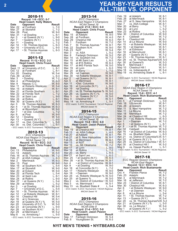### **<sup>2</sup> YEAR-BY-YEAR RESULTS ALL-TIME VS. OPPONENT**

| 2010-11                |                                                |                    |  |  |
|------------------------|------------------------------------------------|--------------------|--|--|
| Record: 1-9 · ECC: 0-7 |                                                |                    |  |  |
|                        | <b>Head Coach: Kelly Waters</b>                |                    |  |  |
| Date                   | Opponent                                       | Result             |  |  |
| Mar. 22                | at Fordham                                     | L. 7-0             |  |  |
| Mar. 27                | at Stonehill                                   | $L, 7-2$           |  |  |
| Mar. 28                | Post                                           | W, 9-0             |  |  |
| Mar. 31                | • at Dowling                                   | L, 8-1             |  |  |
| Apr. 3                 | • at Queens (N.Y.)                             | -, 9-0             |  |  |
| Apr. 7                 | • Queens (N.Y.)                                | L, 9-0             |  |  |
| Apr. 11<br>Apr. 14     | • Dowling                                      | L, 7-2             |  |  |
|                        | · St. Thomas Aquinas                           | L, 6-3             |  |  |
| Apr. 15                | • University of D.C.                           | L, 9-0             |  |  |
| Apr. 17                | · St. Thomas Aquinas<br>· ECC match            | $L, 6-3$           |  |  |
|                        |                                                |                    |  |  |
|                        | 2011-12                                        |                    |  |  |
|                        | Record: 11-12 · ECC: 2-2                       |                    |  |  |
|                        | <b>Head Coach: Chris Frusci</b>                |                    |  |  |
| Date                   | Opponent                                       | Result             |  |  |
| Sept. 11               | at University of D.C.                          | L, 8-1             |  |  |
| Oct. 12                | at Fordham                                     | L, 8-1             |  |  |
| Oct. 20                | Dowling                                        | W, 5-4             |  |  |
| Feb. 29                | at ASA                                         | L, 6-3<br>W, 7-2   |  |  |
| Mar. 3                 | • Dowling                                      |                    |  |  |
| Mar. 4<br>Mar. 9       | at Philadelphia<br>Nassau C.C.                 | W, 6-3             |  |  |
| Mar. 11                | at Roberts Wesleyan                            | $W, 8-0$<br>W, 5-4 |  |  |
| Mar. 15                | at Adelphi                                     | W, 8-1             |  |  |
| Mar. 21                | at Florida Southern                            | L, 8-1             |  |  |
| Mar. 22                | at Florida Tech                                | L, 7-2             |  |  |
| Mar. 23                | at Saint Leo                                   | L, 9-0             |  |  |
| Mar. 24                | at Rollins                                     | L, 8-1             |  |  |
| Mar. 30                | at Queens (N.Y.)                               | L, 9-0             |  |  |
| Apr. 3                 | St. Thomas Aquinas                             | W, 6-3             |  |  |
| Apr. 4                 | • at St. Thomas Aquinas                        | W, 6-3             |  |  |
| Apr. 5                 | at Bloomfield                                  | $W, 9-0$           |  |  |
| 7<br>Apr.              | · at Dist. Columbia                            | $L, 7-2$           |  |  |
| Apr. 9                 | at Post                                        | W, 9-0             |  |  |
| Apr. 12                | • Dowling                                      | W, 5-4<br>$L, 9-0$ |  |  |
| Apr. 13<br>Apr. 17     | • Queens (N.Y.)<br>vs. Dist. Columbia %        | L, 5-0             |  |  |
| Apr. 30                | vs. Dist. Columbia !                           | L. 5-1             |  |  |
|                        | · ECC match; % ECC Tournament; ! NCAA Regional |                    |  |  |

|         | 2012-13                                        |          |
|---------|------------------------------------------------|----------|
|         | <b>ECC Champions</b>                           |          |
|         | NCAA East Region II Champions                  |          |
|         | <b>NCAA</b> Sweet 16                           |          |
|         | Record: 16-10 • ECC: 3-2                       |          |
|         | <b>Head Coach: Chris Frusci</b>                |          |
| Date    | <b>Opponent</b>                                | Result   |
| Oct. 13 | Philadelphia                                   | W, 9-0   |
| Oct. 14 | Adelphi                                        | W, 5-4   |
| Feb. 16 | at St. Thomas Aquinas                          | W, 7-2   |
| Feb. 21 | at ASA College                                 | $L, 4-3$ |
| Mar. 2  | Merrimack                                      | W, 6-3   |
| Mar. 13 | Post                                           | W, 9-0   |
| Mar. 16 | at Southern N.H.                               | L, 5-4   |
| Mar. 17 | at Stonehill                                   | W, 9-0   |
| Mar. 20 | at Eckerd                                      | W, 9-0   |
| Mar. 22 | at Florida Tech                                | L, 5-4   |
| Mar. 23 | at Saint Leo                                   | L, 8-1   |
| Mar. 24 | at Rollins                                     | L, 9-0   |
| Mar. 27 | • at Queens (N.Y.)                             | L, 5-4   |
| Mar. 29 | at Hofstra                                     | L, 5-2   |
| Apr. 3  | • at Dowling                                   | W, 9-0   |
| Apr. 7  | • University of D.C.                           | L. 5-4   |
| Apr. 10 | · St. Thomas Aquinas                           | W, 8-1   |
| Apr. 12 | • at Roberts Wesleyan                          | W, 8-1   |
| Apr. 14 | Chestnut Hill                                  | W, 5-4   |
| Apr. 16 | at U Sciences                                  | W. 8-1   |
| Apr. 19 | at Queens (N.Y.) %                             | W, 5-0   |
| Apr. 20 | University of D.C. %                           | W, 5-0   |
| Apr. 23 | at Concordia (N.Y.)                            | $L.9-0$  |
| Apr. 28 | vs Southern N.H.!                              | W, 5-1   |
| Apr. 29 | at Merrimack !                                 | W, 5-2   |
| May 8   | vs. Armstrong !                                | L. 5-0   |
|         | · ECC match; % ECC Tournament; ! NCAA Regional |          |

| 2013-14                                                      |                                                 |                                      |  |
|--------------------------------------------------------------|-------------------------------------------------|--------------------------------------|--|
| <b>ECC Champions</b><br><b>NCAA East Region II Champions</b> |                                                 |                                      |  |
| <b>NCAA</b> Sweet 16                                         |                                                 |                                      |  |
|                                                              | Record: 21-6 • ECC: 6-0                         |                                      |  |
| Date                                                         | <b>Head Coach: Chris Frusci</b><br>Opponent     | Result                               |  |
| <b>S</b> ep. 15                                              | at Adelphi                                      | W, 9-0                               |  |
| Sep. 28                                                      | at Fordham                                      |                                      |  |
| Sep. 29                                                      | Chestnut Hill                                   |                                      |  |
| ⊢eb. 1<br>Feb. 7                                             | Fordham<br>St. Thomas Aquinas *                 | W, 4-3<br>W, 6-3<br>W, 7-2<br>W, 8-1 |  |
| Feb. 22                                                      | Southern N.H.                                   | W, 9-0                               |  |
| Feb. 23                                                      | NJIT                                            | W, 5-4                               |  |
| Mar. 3<br>Mar. 8                                             | vs. ASA<br>Fairleigh Dickinson                  | $L, 5-2$<br>W, 5-2                   |  |
| Mar. 14                                                      | vs. Southern Ind.                               | W, 7-2                               |  |
| Mar. 15                                                      | at #8 Saint Leo                                 | $L, 6-3$                             |  |
| Mar. 16<br>Mar. 17                                           | at #15 Rollins<br>at #45 Florida Tech           | W, 6-3<br>W, 5-0                     |  |
|                                                              | at Lynn                                         | L, 6-3                               |  |
| Mar. 19<br>Mar. 20                                           | at Barry                                        | $7 - 2$<br>L,                        |  |
| Mar. 29<br>Mar. 30                                           | •at Daemen                                      | W, 9-0                               |  |
| Apr. 2                                                       | •at Roberts Wesleyan<br>•at Queens (N.Y.)       | W, 8-1<br>W, 8-1                     |  |
| Apr. 5                                                       | at Merrimack                                    | W, 8-1                               |  |
| Apr. 11                                                      | •Dist. Columbia                                 | W, 9-0                               |  |
| Apr. 16<br>Apr. 19                                           | at Concordia (N.Y.)<br>•at Dowling              | $L, 6-3$<br>W, 9-0                   |  |
| Apr. 25                                                      | vs. St. Thomas Aquinas %                        | W, 5-0                               |  |
| Apr. 26                                                      | vs. Queens (N.Y.) %                             | W, 5-0                               |  |
| May. 3<br>May. 4                                             | vs. Queens (N.Y.) !<br><b>Chestnut Hill!</b>    | W, 5-0<br>W, 5-1                     |  |
| May. 14                                                      | vs. Armstrong #                                 | L, 5-1                               |  |
|                                                              | · ECC match; % ECC Tournament; ! NCAA Regional, |                                      |  |
|                                                              |                                                 |                                      |  |
|                                                              | #NCAA Sweet 16                                  |                                      |  |
|                                                              | 2014-15                                         |                                      |  |
|                                                              | <b>ECC Champions</b>                            |                                      |  |
|                                                              | <b>NCAA East Region II Champions</b>            |                                      |  |
|                                                              | <b>NCAA</b> Sweet 16<br>Record: 15-8 • ECC: 6-0 |                                      |  |
|                                                              | <b>Head Coach: Jason Pasion</b>                 |                                      |  |
| <b>Date</b>                                                  | <b>Opponent</b>                                 | Result                               |  |
| Sep. 19<br>Feb 13                                            | at Chestnut Hill<br>vs. ASA College             | W, 8-1                               |  |
| Feb <sub>20</sub>                                            | at Adelphi                                      | $L, 4-3$<br>W, 8-1                   |  |
| Feb 27                                                       | at S. New Hampshire                             | W, 8-1                               |  |
| Feb <sub>28</sub><br>Mar 13                                  | at Merrimack                                    | W, 8-1                               |  |
| Mar 16                                                       | at NJIT<br>vs. SE Oklahoma                      | $L, 4-3$<br>W, 7-2                   |  |
| Mar 17                                                       | at Lynn                                         | $L, 9-0$                             |  |
| Mar 18                                                       | at Rollins <b>De Little Added</b>               | $L, 7-2$                             |  |
| Mar 20<br>Mar 21                                             | vs. Barry<br>at Saint Leo                       | $L, 6-3$<br>$6 - 3$                  |  |
| Mar. 25                                                      | • at Queens (N.Y.)                              | L,<br>W, 6-3                         |  |
| Mar. 28                                                      | • at St. Thomas Aquinas                         | W. 8-1                               |  |
| Apr. 4                                                       | • at District of Columbia                       | W, 8-1<br>W, 9-0                     |  |
| Apr. 9<br>Apr. 16                                            | • at Dowling<br>at Concordia (N.Y.)             | $7 - 2$<br>L,                        |  |
| Apr. 17                                                      | • Roberts Wesleyan                              | W, 9-0                               |  |
| Apr. 18                                                      | • Daemen                                        | W, 9-0<br>$5-0$                      |  |
| Apr. 24<br>Apr. 25                                           | vs. Roberts Wesleyan % W,<br>at Queens %        | W, 5-0                               |  |
| May 2                                                        | vs. District of Columbia !                      | W,<br>$5-0$                          |  |
| May 3                                                        | vs. Merrimack!<br>vs. Bluefield State #         | W, 5-1<br>L, 5-4                     |  |
| May 13                                                       | · ECC match; % ECC Tournament; ! NCAA Regional, |                                      |  |
|                                                              | #NCAA Sweet 16                                  |                                      |  |

#### 2015-16

| <b>ECC Champions</b><br><b>NCAA East Region II Champions</b> |                                                      |               |  |
|--------------------------------------------------------------|------------------------------------------------------|---------------|--|
| <b>NCAA Elite 8</b>                                          |                                                      |               |  |
| Record: 21-4 • ECC: 5-0                                      |                                                      |               |  |
| <b>Head Coach: Jason Pasion</b>                              |                                                      |               |  |
| <b>Date</b>                                                  | <b>Opponent</b>                                      | <b>Result</b> |  |
|                                                              | Sep. 17 Fairleigh Dickinson<br>Feb. 6 Youngstown St. | W. 5-4        |  |
|                                                              | Youngstown St.                                       | W. 6-3        |  |

| Feb. 19<br>Feb. 26<br>Feb. 27<br>Mar. 7<br>Mar. 20<br>Mar. 22<br>Mar. 23 | at Adelphi<br>at Merrimack<br>at S. New Hampshire<br>vs. ASA College<br>at Barrv<br>at Lynn<br>at Rollins | W. 8-1<br>W. 8-1<br>W. 6-3<br>W, 8-1<br>L. 7-2<br>L. 5-2<br>L, 6-3 |
|--------------------------------------------------------------------------|-----------------------------------------------------------------------------------------------------------|--------------------------------------------------------------------|
| Mar. 30                                                                  | • District of Columbia                                                                                    | W. 9-0                                                             |
| Apr. 4<br>Apr. 8                                                         | Caldwell<br>Chestnut Hill                                                                                 | W, 7-2<br>W. 8-1                                                   |
| Apr. 14                                                                  | at Le Moyne                                                                                               | W. 9-0                                                             |
| Apr. 15                                                                  | • at Roberts Wesleyan                                                                                     | W. 9-0                                                             |
| Apr. 16                                                                  | • at Daemen                                                                                               | W. 8-1                                                             |
| Apr. 17                                                                  | at Edinboro                                                                                               | W. 8-1                                                             |
| Apr. 18                                                                  | at Mercyhurst                                                                                             | W. 8-1                                                             |
| Apr. 20                                                                  | • Queens (N.Y.)                                                                                           | W. 7-2                                                             |
| Apr. 23                                                                  | · St. Thomas Aquinas                                                                                      | W. 8-1                                                             |
| Apr. 29                                                                  | vs. St. Thomas Aquinas%W, 5-0                                                                             |                                                                    |
| Apr. 30                                                                  | at Queens%                                                                                                | W. 5-3                                                             |
| May 9                                                                    | Merrimack !                                                                                               | W. 5-0                                                             |
| May 10                                                                   | Chestnut Hill!                                                                                            | W. 5-1                                                             |
| May 18                                                                   | vs, Indianapolis #                                                                                        | W, 5-4                                                             |
| May 19                                                                   | vs. Armstrong State #                                                                                     | L. 6-1                                                             |

*• ECC match; % ECC Tournament; ! NCAA Regional, #NCAA Sweet 16/Elite 8*

#### 2016-17

| <b>NCAA East Region II Champions</b> |  |                                                 |        |          |
|--------------------------------------|--|-------------------------------------------------|--------|----------|
| <b>NCAA</b> Sweet 16                 |  |                                                 |        |          |
| Record: 13-6 • ECC: 4-1              |  |                                                 |        |          |
|                                      |  | <b>Head Coach: Rich Bustamante</b>              |        |          |
| <b>Date</b>                          |  | <b>Opponent</b>                                 |        | Result   |
| Oct. 5                               |  | at Fairleigh Dickinson                          |        | L, $5-0$ |
| Feb. 18                              |  | USciences                                       |        | W. 8-1   |
| Feb. 28                              |  | at Adelphi                                      |        | W, 8-1   |
| Mar. 11                              |  | S. New Hampshire                                |        | W. 7-2   |
| Mar. 11                              |  | Le Moyne                                        |        | W. 6-3   |
| Mar. 18                              |  | Merrimack                                       |        | W. 7-2   |
| Mar. 24                              |  | at Chestnut Hill                                |        | L. 6-3   |
| Mar. 31                              |  | · vs. Roberts Wesleyan                          |        | W. 6-3   |
| Apr. 1                               |  | • Daemen                                        |        | W. 7-2   |
| Apr. 5                               |  | • at Queens (N.Y.)                              |        | L. 8-1   |
|                                      |  |                                                 |        |          |
| Apr. 8                               |  | · at St. Thomas Aquinas<br>Caldwell             |        | W. 7-2   |
| Apr. 10                              |  |                                                 |        | W. 9-0   |
| Apr. 14                              |  | • at District of Columbia                       |        | W. 6-3   |
| Apr. 15                              |  | vs. Bluefield State                             |        | L. 6-3   |
| Apr. 21                              |  | vs. District of Columbia%W, 5-1                 |        |          |
| Apr. 22                              |  | at Queens (N.Y.) %                              | L. 5-1 |          |
| Apr. 29                              |  | vs. District of Columbia ! W, 5-1               |        |          |
| Apr. 30                              |  | at Chestnut Hill !                              |        | W, 5-2   |
| May 9                                |  | vs. Hawaii Pacific #                            |        | L. 5-1   |
|                                      |  | • ECC match; % ECC Tournament; ! NCAA Regional, |        |          |
|                                      |  | #NCAA Sweet 16                                  |        |          |

#### 2017-18

| <b>ECC Regular-Season Champions</b>                    |                                    |          |  |
|--------------------------------------------------------|------------------------------------|----------|--|
| <b>NCAA East Region</b>                                |                                    |          |  |
|                                                        | Record: 12-3 • ECC: 5-0            |          |  |
|                                                        | <b>Head Coach: Rich Bustamante</b> |          |  |
| Date                                                   | <b>Opponent</b>                    | Result   |  |
| Oct. 4                                                 | Franklin Pierce                    | W. 7-2   |  |
| Feb. 23                                                | Adelphi                            | W. 8-1   |  |
| Mar. 3                                                 | at Merrimack                       | W. 7-2   |  |
| Mar. 16                                                | at Jefferson                       | W. 7-2   |  |
| Mar. 23                                                | • District of Columbia             | W. 8-1   |  |
| Mar. 30                                                | <b>Chestnut Hill</b>               | W. 6-3   |  |
| Apr. 6                                                 | • at Roberts Wesleyan              | W. 9-0   |  |
| Apr. 7                                                 | • at Daemen                        | W, 7-2   |  |
| Apr. 8                                                 | at Le Moyne                        | $L, 5-4$ |  |
| Apr. 11                                                | • St. Thomas Aquinas               | W. 7-2   |  |
| Apr. 13                                                | • Queens (N.Y.)                    | W. 5-4   |  |
| Apr. 20                                                | vs. St. Thomas Aquinas%W, 5-2      |          |  |
| Apr. 21                                                | at Queens (N.Y.) %                 | $L, 5-0$ |  |
| Apr. 30                                                | vs. Le Moyne!                      | W, 5-4   |  |
| May 1                                                  | at Queens (N.Y.)!                  | L. 5-2   |  |
| $\bullet$ FCC match: % FCC Tournament: I NCAA Regional |                                    |          |  |

*• ECC match; % ECC Tournament; ! NCAA Regional*

#### **NYIT MEN'S TENNIS • NYITBEARS.COM**